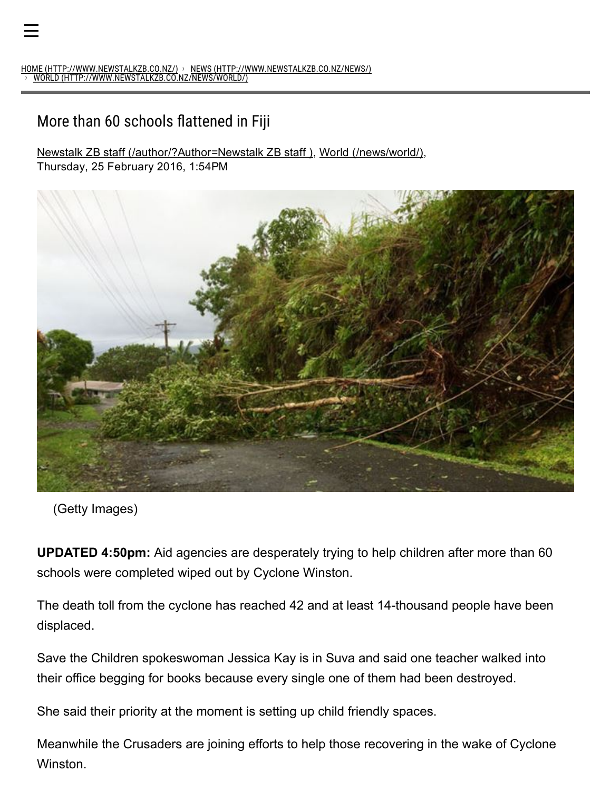## More than 60 schools flattened in Fiji

Newstalk ZB staff [\(/author/?Author=Newstalk](http://www.newstalkzb.co.nz/author/?Author=Newstalk%20ZB%20staff) ZB staff ), World [\(/news/world/\),](http://www.newstalkzb.co.nz/news/world/)

Thursday, 25 February 2016, 1:54PM



(Getty Images)

UPDATED 4:50pm: Aid agencies are desperately trying to help children after more than 60 schools were completed wiped out by Cyclone Winston.

The death toll from the cyclone has reached 42 and at least 14-thousand people have been displaced.

Save the Children spokeswoman Jessica Kay is in Suva and said one teacher walked into their office begging for books because every single one of them had been destroyed.

She said their priority at the moment is setting up child friendly spaces.

Meanwhile the Crusaders are joining efforts to help those recovering in the wake of Cyclone Winston.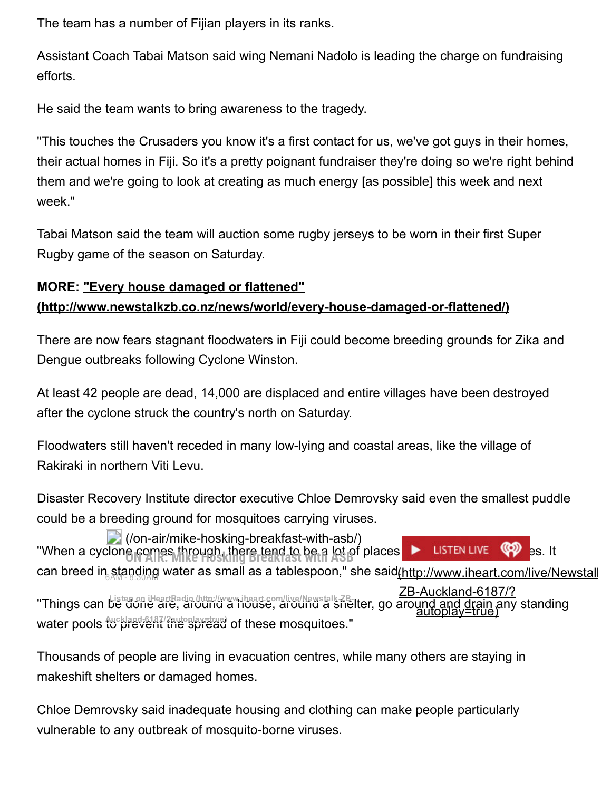The team has a number of Fijian players in its ranks.

Assistant Coach Tabai Matson said wing Nemani Nadolo is leading the charge on fundraising efforts.

He said the team wants to bring awareness to the tragedy.

"This touches the Crusaders you know it's a first contact for us, we've got guys in their homes, their actual homes in Fiji. So it's a pretty poignant fundraiser they're doing so we're right behind them and we're going to look at creating as much energy [as possible] this week and next week."

Tabai Matson said the team will auction some rugby jerseys to be worn in their first Super Rugby game of the season on Saturday.

## MORE: "Every house damaged or flattened" (http://www.newstalkzb.co.nz/news/world/every-house-damaged-or-flattened/)

There are now fears stagnant floodwaters in Fiji could become breeding grounds for Zika and Dengue outbreaks following Cyclone Winston.

At least 42 people are dead, 14,000 are displaced and entire villages have been destroyed after the cyclone struck the country's north on Saturday.

Floodwaters still haven't receded in many low-lying and coastal areas, like the village of Rakiraki in northern Viti Levu.

Disaster Recovery Institute director executive Chloe Demrovsky said even the smallest puddle could be a breeding ground for mosquitoes carrying viruses.

"When a cyclone comes through, there tend to be a lot of places **where the search are put with a lot of places** it can breed in standing water as small as a tablespoon," she said<u>(http://www.iheart.com/live/Newstall</u> "Things can Listen on iHeartRadio (http://www.iheart.com/live/Newstalk-ZB-Iter, go around and drain any standing water pools fuckland-6187/2autoplay=true) of these mosquitoes."  $\Box$  (/on-air/mike-hosking-breakfast-with-asb/) ZB-Auckland-6187/? a<u>utoplay=true</u>)

Thousands of people are living in evacuation centres, while many others are staying in makeshift shelters or damaged homes.

Chloe Demrovsky said inadequate housing and clothing can make people particularly vulnerable to any outbreak of mosquito-borne viruses.